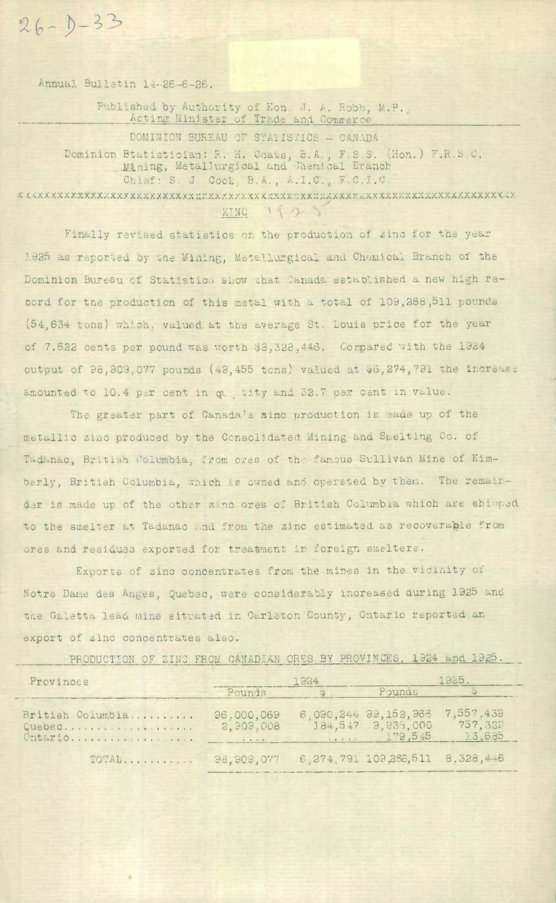Annual Bulletin 14-26-6-26.

 $26 - 1 - 33$ 

Published by Authority of Hon. J. A. Robb, M.P. Acting Minister of Trade and Commerce

DOMINION BUREAU OF STATISTICS -- CANADA Dominion Btatistician: R. H. Coats, B.A., F.S.S. (Hon.) F.R.S.C.<br>Mining, Metallurgical and Chemical Branch Chief: S. J Cook, B.A., A.I.C., F.C.I.C. 

> ZINC  $1923$

Finally revised statistics on the production of zinc for the year 1925 as reported by the Mining, Metallurgical and Chemical Branch of the Dominion Bureau of Statistics show that Canada established a new high record for the production of this metal with a total of 109,268,511 pounds (54,634 tons) which, valued at the average St. Louis price for the year of 7.622 cents per pound was worth \$3,328,446. Compared with the 1924 output of 98,909,077 pounds (49,455 tons) valued at \$6,274,791 the increase amounted to 10.4 per cent in questity and 32.7 per cent in value.

The greater part of Canada's zinc production is made up of the metallic zinc produced by the Consolidated Mining and Smelting Co. of Tadanac, British Columbia, from ores of the famous Sullivan Mine of Kimberly, British Columbia, which is owned and operated by them. The remainder is made up of the other zinc ores of British Columbia which are shipped to the smelter at Tadanac and from the zinc estimated as recoverable from ores and residues exported for treatment in foreign smelters.

Exports of zinc concentrates from the mines in the vicinity of Notre Dame des Anges, Quebec, were considerably increased during 1925 and the Galetta Lead mine situated in Carleton County, Ontario reported an export of zinc concentrates also.

PRODUCTION OF ZINC FROM CANADIAN ORES BY PROVINCES, 1924 and 1925.

| Provinces                             | 1924                                       |  | 1925.                                                 |                                 |
|---------------------------------------|--------------------------------------------|--|-------------------------------------------------------|---------------------------------|
|                                       | Pounds                                     |  | Pounds                                                |                                 |
| British Columbia<br>Quebec<br>Ontario | 96,000,069<br>2,909,008                    |  | 6,090,244 99,152,966<br>184,547 3,935,000<br>1.29,545 | 7,557,439<br>757, 332<br>13,685 |
| TOTAL                                 | 98,909,077 6,274,791 109,268,511 8,328,446 |  |                                                       |                                 |